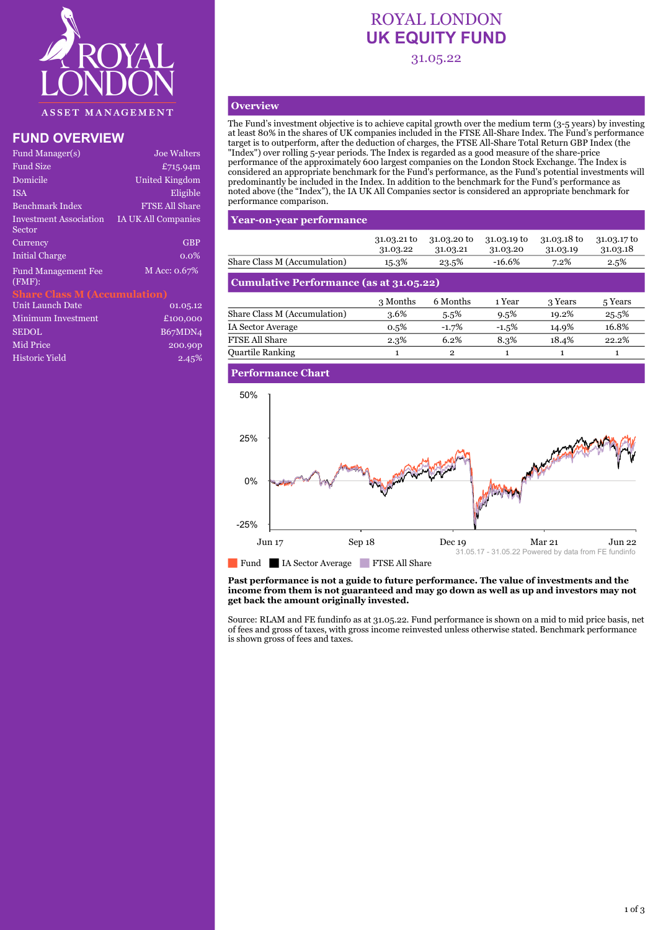

# **FUND OVERVIEW**

| Fund Manager(s)                      | <b>Joe Walters</b>    |
|--------------------------------------|-----------------------|
| Fund Size                            | £715.94m              |
| Domicile                             | <b>United Kingdom</b> |
| ISA                                  | Eligible              |
| Benchmark Index                      | <b>FTSE All Share</b> |
| Investment Association<br>Sector     | IA UK All Companies   |
| Currency                             | <b>GBP</b>            |
| <b>Initial Charge</b>                | $0.0\%$               |
| <b>Fund Management Fee</b><br>(FMF): | M Acc: 0.67%          |
| <b>Share Class M (Accumulation)</b>  |                       |
| Unit Launch Date                     | 01.05.12              |
| Minimum Investment                   | £100,000              |
| <b>SEDOL</b>                         | B67MDN4               |
| Mid Price                            | 200.90p               |
|                                      |                       |

Historic Yield 2.45%

# ROYAL LONDON **UK EQUITY FUND** 31.05.22

# **Overview**

The Fund's investment objective is to achieve capital growth over the medium term (3-5 years) by investing at least 80% in the shares of UK companies included in the FTSE All-Share Index. The Fund's performance target is to outperform, after the deduction of charges, the FTSE All-Share Total Return GBP Index (the "Index") over rolling 5-year periods. The Index is regarded as a good measure of the share-price performance of the approximately 600 largest companies on the London Stock Exchange. The Index is considered an appropriate benchmark for the Fund's performance, as the Fund's potential investments will predominantly be included in the Index. In addition to the benchmark for the Fund's performance as noted above (the "Index"), the IA UK All Companies sector is considered an appropriate benchmark for performance comparison.

## **Year-on-year performance**

|                                         | 31.03.21 to<br>31.03.22 | 31.03.20 to<br>31.03.21 | 31.03.19 to<br>31.03.20 | 31.03.18 to<br>31.03.19 | 31.03.17 to<br>31.03.18 |  |  |
|-----------------------------------------|-------------------------|-------------------------|-------------------------|-------------------------|-------------------------|--|--|
| Share Class M (Accumulation)            | 15.3%                   | 23.5%                   | $-16.6%$                | 7.2%                    | 2.5%                    |  |  |
| Cumulative Performance (as at 31.05.22) |                         |                         |                         |                         |                         |  |  |
|                                         | 3 Months                | 6 Months                | 1 Year                  | 3 Years                 | 5 Years                 |  |  |
| Share Class M (Accumulation)            | 3.6%                    | 5.5%                    | $9.5\%$                 | 19.2%                   | 25.5%                   |  |  |
| IA Sector Average                       | 0.5%                    | $-1.7%$                 | $-1.5%$                 | 14.9%                   | 16.8%                   |  |  |

FTSE All Share 2.3% 6.2% 8.3% 18.4% 22.2% Quartile Ranking 1 2 1 1 1 1

### **Performance Chart**



#### **Past performance is not a guide to future performance. The value of investments and the income from them is not guaranteed and may go down as well as up and investors may not get back the amount originally invested.**

Source: RLAM and FE fundinfo as at 31.05.22. Fund performance is shown on a mid to mid price basis, net of fees and gross of taxes, with gross income reinvested unless otherwise stated. Benchmark performance is shown gross of fees and taxes.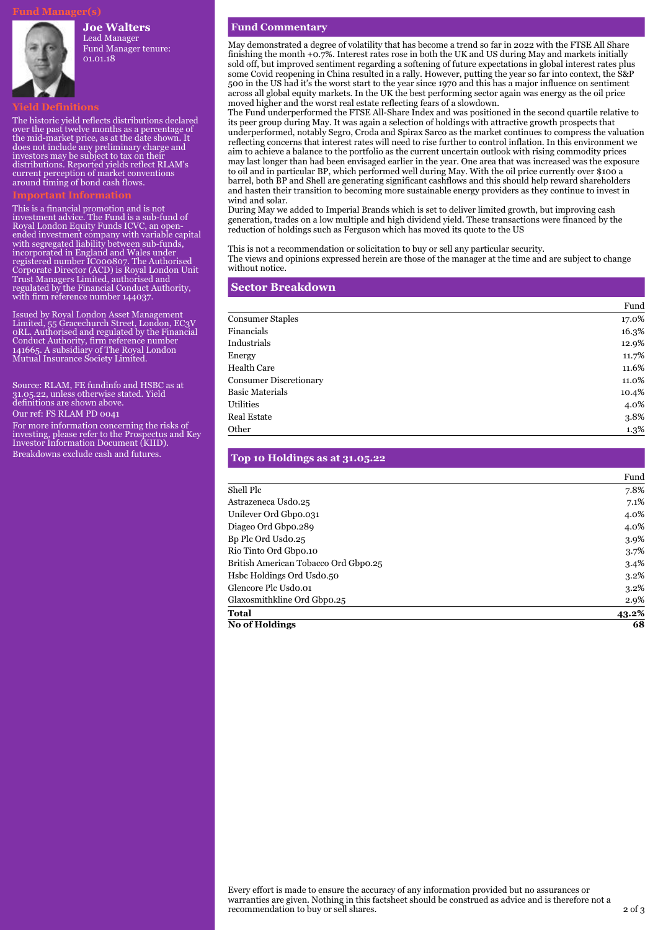#### **Joe Walters**

Lead Manager Fund Manager tenure: 01.01.18

The historic yield reflects distributions declared over the past twelve months as a percentage of the mid-market price, as at the date shown. It does not include any preliminary charge and investors may be subject to tax on their distributions. Reported yields reflect RLAM's current perception of market conventions around timing of bond cash flows.

This is a financial promotion and is not investment advice. The Fund is a sub-fund of Royal London Equity Funds ICVC, an openended investment company with variable capital with segregated liability between sub-funds, incorporated in England and Wales under registered number IC000807. The Authorised Corporate Director (ACD) is Royal London Unit Trust Managers Limited, authorised and regulated by the Financial Conduct Authority, with firm reference number 144037.

Issued by Royal London Asset Management Limited, 55 Gracechurch Street, London, EC3V 0RL. Authorised and regulated by the Financial Conduct Authority, firm reference number 141665. A subsidiary of The Royal London Mutual Insurance Society Limited.

Source: RLAM, FE fundinfo and HSBC as at 31.05.22, unless otherwise stated. Yield definitions are shown above.

Our ref: FS RLAM PD 0041

For more information concerning the risks of investing, please refer to the Prospectus and Key Investor Information Document (KIID). Breakdowns exclude cash and futures.

#### **Fund Commentary**

May demonstrated a degree of volatility that has become a trend so far in 2022 with the FTSE All Share finishing the month +0.7%. Interest rates rose in both the UK and US during May and markets initially sold off, but improved sentiment regarding a softening of future expectations in global interest rates plus some Covid reopening in China resulted in a rally. However, putting the year so far into context, the S&P 500 in the US had it's the worst start to the year since 1970 and this has a major influence on sentiment across all global equity markets. In the UK the best performing sector again was energy as the oil price moved higher and the worst real estate reflecting fears of a slowdown.

The Fund underperformed the FTSE All-Share Index and was positioned in the second quartile relative to its peer group during May. It was again a selection of holdings with attractive growth prospects that underperformed, notably Segro, Croda and Spirax Sarco as the market continues to compress the valuation reflecting concerns that interest rates will need to rise further to control inflation. In this environment we aim to achieve a balance to the portfolio as the current uncertain outlook with rising commodity prices may last longer than had been envisaged earlier in the year. One area that was increased was the exposure to oil and in particular BP, which performed well during May. With the oil price currently over \$100 a barrel, both BP and Shell are generating significant cashflows and this should help reward shareholders and hasten their transition to becoming more sustainable energy providers as they continue to invest in wind and solar.

During May we added to Imperial Brands which is set to deliver limited growth, but improving cash generation, trades on a low multiple and high dividend yield. These transactions were financed by the reduction of holdings such as Ferguson which has moved its quote to the US

This is not a recommendation or solicitation to buy or sell any particular security.

The views and opinions expressed herein are those of the manager at the time and are subject to change without notice.

| <b>Sector Breakdown</b>       |       |
|-------------------------------|-------|
|                               | Fund  |
| <b>Consumer Staples</b>       | 17.0% |
| Financials                    | 16.3% |
| Industrials                   | 12.9% |
| Energy                        | 11.7% |
| <b>Health Care</b>            | 11.6% |
| <b>Consumer Discretionary</b> | 11.0% |
| <b>Basic Materials</b>        | 10.4% |
| Utilities                     | 4.0%  |
| Real Estate                   | 3.8%  |
| Other                         | 1.3%  |

| Top 10 Holdings as at 31.05.22       |         |
|--------------------------------------|---------|
|                                      | Fund    |
| Shell Plc                            | 7.8%    |
| Astrazeneca Usdo.25                  | 7.1%    |
| Unilever Ord Gbpo.031                | 4.0%    |
| Diageo Ord Gbpo.289                  | 4.0%    |
| Bp Plc Ord Usdo.25                   | 3.9%    |
| Rio Tinto Ord Gbpo.10                | 3.7%    |
| British American Tobacco Ord Gbp0.25 | $3.4\%$ |
| Hsbc Holdings Ord Usdo.50            | $3.2\%$ |
| Glencore Plc Usdo.01                 | $3.2\%$ |
| Glaxosmithkline Ord Gbpo.25          | 2.9%    |
| Total                                | 43.2%   |
| <b>No of Holdings</b>                | 68      |

Every effort is made to ensure the accuracy of any information provided but no assurances or warranties are given. Nothing in this factsheet should be construed as advice and is therefore not a recommendation to buy or sell shares. 2 of 3